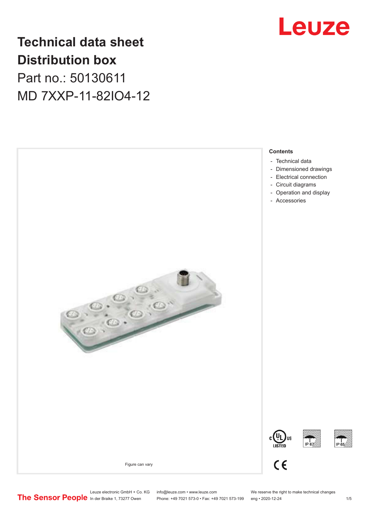

## **Technical data sheet Distribution box**

Part no.: 50130611 MD 7XXP-11-82IO4-12



Phone: +49 7021 573-0 • Fax: +49 7021 573-199 eng • 2020-12-24 1 2020-12-24

Leuze electronic GmbH + Co. KG info@leuze.com • www.leuze.com We reserve the right to make technical changes<br>
The Sensor People in der Braike 1, 73277 Owen Phone: +49 7021 573-0 • Fax: +49 7021 573-199 eng • 2020-12-24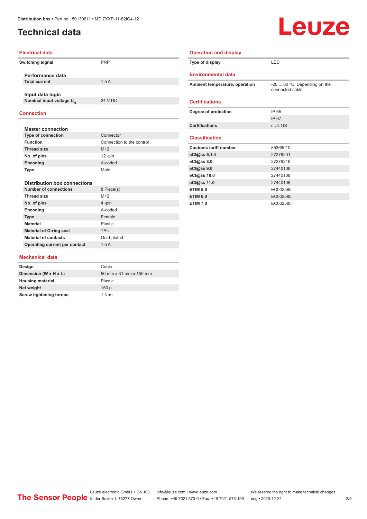#### <span id="page-1-0"></span>**Technical data**

# Leuze

#### **Electrical data**

| Switching signal |                                      | <b>PNP</b> |
|------------------|--------------------------------------|------------|
|                  | Performance data                     |            |
|                  | <b>Total current</b>                 | 15A        |
|                  | Input data logic                     |            |
|                  | Nominal input voltage U <sub>N</sub> | 24 V DC    |
|                  |                                      |            |

| Type of display                                       | LED                                             |
|-------------------------------------------------------|-------------------------------------------------|
| <b>Environmental data</b>                             |                                                 |
| Ambient temperature, operation                        | -20  60 °C, Depending on the<br>connected cable |
| <b>Certifications</b>                                 |                                                 |
| Degree of protection                                  | IP 65                                           |
|                                                       | IP 67                                           |
| <b>Certifications</b>                                 | c UL US                                         |
| <b>Classification</b><br><b>Customs tariff number</b> | 85369010                                        |
| eCl@ss 5.1.4                                          | 27279201                                        |
| eCl@ss 8.0                                            | 27279219                                        |
| eCl@ss 9.0                                            | 27440108                                        |
| eCl@ss 10.0                                           | 27440108                                        |
| eCl@ss 11.0                                           | 27440108                                        |
| <b>ETIM 5.0</b>                                       | EC002585                                        |
| <b>ETIM 6.0</b>                                       | EC002585                                        |
|                                                       |                                                 |

**Operation and display**

#### **Connection**

| <b>Master connection</b>            |                           |  |
|-------------------------------------|---------------------------|--|
| <b>Type of connection</b>           | Connector                 |  |
| <b>Function</b>                     | Connection to the control |  |
| <b>Thread size</b>                  | M <sub>12</sub>           |  |
| No. of pins                         | $12 - pin$                |  |
| Encoding                            | A-coded                   |  |
| Type                                | Male                      |  |
|                                     |                           |  |
| <b>Distribution box connections</b> |                           |  |
| <b>Number of connections</b>        | 8 Piece(s)                |  |
| Thread size                         | M <sub>12</sub>           |  |
| No. of pins                         | 4-pin                     |  |
| Encoding                            | A-coded                   |  |
| <b>Type</b>                         | Female                    |  |
| <b>Material</b>                     | Plastic                   |  |
| <b>Material of O-ring seal</b>      | <b>TPU</b>                |  |
| <b>Material of contacts</b>         | Gold-plated               |  |

#### **Mechanical data**

**Operating current per contact** 1.5 A

| Design                         | Cubic                  |
|--------------------------------|------------------------|
| Dimension (W x H x L)          | 50 mm x 31 mm x 150 mm |
| <b>Housing material</b>        | Plastic                |
| Net weight                     | 150q                   |
| <b>Screw tightening torque</b> | 1 N·m                  |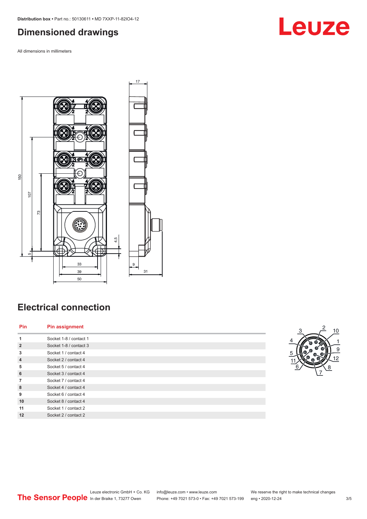#### <span id="page-2-0"></span>**Dimensioned drawings**

All dimensions in millimeters



## **Electrical connection**

| Pin            | <b>Pin assignment</b>  |
|----------------|------------------------|
| 1              | Socket 1-8 / contact 1 |
| $\overline{2}$ | Socket 1-8 / contact 3 |
| 3              | Socket 1 / contact 4   |
| $\overline{4}$ | Socket 2 / contact 4   |
| 5              | Socket 5 / contact 4   |
| 6              | Socket 3 / contact 4   |
| $\overline{7}$ | Socket 7 / contact 4   |
| 8              | Socket 4 / contact 4   |
| 9              | Socket 6 / contact 4   |
| 10             | Socket 8 / contact 4   |
| 11             | Socket 1 / contact 2   |
| 12             | Socket 2 / contact 2   |



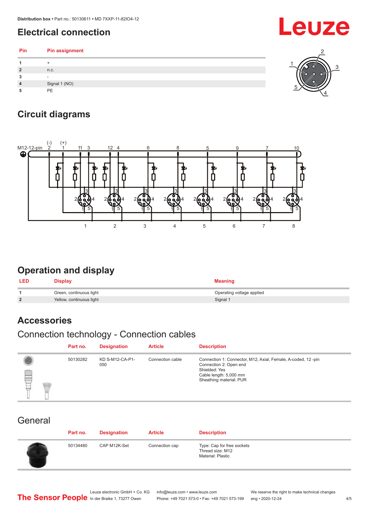## <span id="page-3-0"></span>**Electrical connection**

**Pin Pin assignment 1** + **2** n.c. **3** -

1 5 4

## **Circuit diagrams**

**4** Signal 1 (NO) **5** PE



#### **Operation and display**

| <b>LED</b>     | <b>Display</b>           | <b>Meaning</b>            |
|----------------|--------------------------|---------------------------|
|                | Green, continuous light  | Operating voltage applied |
| $\overline{2}$ | Yellow, continuous light | Signal 1                  |

## **Accessories**

#### Connection technology - Connection cables

|   | Part no. | <b>Designation</b>     | <b>Article</b>   | <b>Description</b>                                                                                                                                           |
|---|----------|------------------------|------------------|--------------------------------------------------------------------------------------------------------------------------------------------------------------|
| ▤ | 50130282 | KD S-M12-CA-P1-<br>050 | Connection cable | Connection 1: Connector, M12, Axial, Female, A-coded, 12-pin<br>Connection 2: Open end<br>Shielded: Yes<br>Cable length: 5,000 mm<br>Sheathing material: PUR |

#### **General**

| Part no. | <b>Designation</b> | <b>Article</b> | <b>Description</b>                                                  |
|----------|--------------------|----------------|---------------------------------------------------------------------|
| 50134480 | CAP M12K-Set       | Connection cap | Type: Cap for free sockets<br>Thread size: M12<br>Material: Plastic |